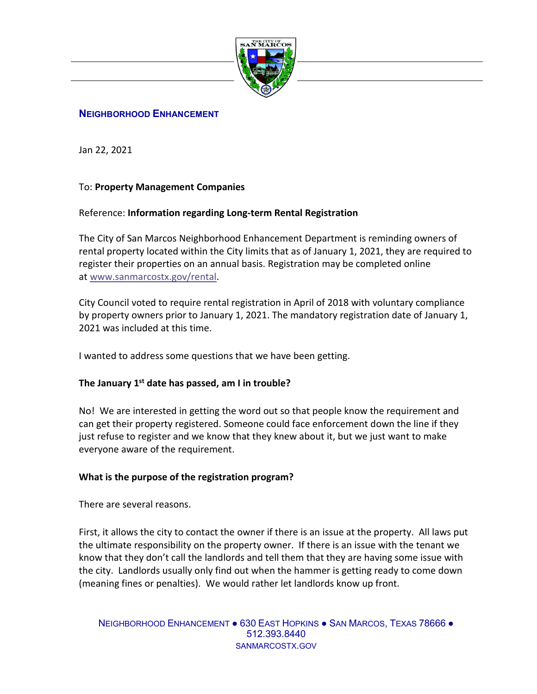

## **NEIGHBORHOOD ENHANCEMENT**

Jan 22, 2021

# To: **Property Management Companies**

## Reference: **Information regarding Long-term Rental Registration**

The City of San Marcos Neighborhood Enhancement Department is reminding owners of rental property located within the City limits that as of January 1, 2021, they are required to register their properties on an annual basis. Registration may be completed online at [www.sanmarcostx.gov/rental.](http://www.sanmarcostx.gov/rental)

City Council voted to require rental registration in April of 2018 with voluntary compliance by property owners prior to January 1, 2021. The mandatory registration date of January 1, 2021 was included at this time.

I wanted to address some questions that we have been getting.

### **The January 1st date has passed, am I in trouble?**

No! We are interested in getting the word out so that people know the requirement and can get their property registered. Someone could face enforcement down the line if they just refuse to register and we know that they knew about it, but we just want to make everyone aware of the requirement.

# **What is the purpose of the registration program?**

There are several reasons.

First, it allows the city to contact the owner if there is an issue at the property. All laws put the ultimate responsibility on the property owner. If there is an issue with the tenant we know that they don't call the landlords and tell them that they are having some issue with the city. Landlords usually only find out when the hammer is getting ready to come down (meaning fines or penalties). We would rather let landlords know up front.